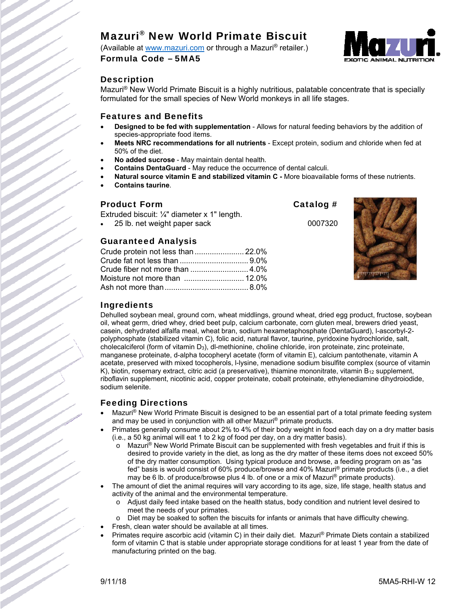# Mazuri® New World Primate Biscuit

(Available at www.mazuri.com or through a Mazuri® retailer.) Formula Code – 5MA5



# **Description**

Mazuri<sup>®</sup> New World Primate Biscuit is a highly nutritious, palatable concentrate that is specially formulated for the small species of New World monkeys in all life stages.

#### Features and Benefits

- **Designed to be fed with supplementation**  Allows for natural feeding behaviors by the addition of species-appropriate food items.
- **Meets NRC recommendations for all nutrients** Except protein, sodium and chloride when fed at 50% of the diet.
- **No added sucrose** May maintain dental health.
- **Contains DentaGuard** May reduce the occurrence of dental calculi.
- **Natural source vitamin E and stabilized vitamin C -** More bioavailable forms of these nutrients.
- **Contains taurine**.

### Product Form Catalog #

Extruded biscuit: ¼" diameter x 1" length.

25 lb. net weight paper sack 0007320

# Guaranteed Analysis

| Crude protein not less than  22.0% |  |
|------------------------------------|--|
|                                    |  |
|                                    |  |
|                                    |  |
|                                    |  |



# Ingredients

Dehulled soybean meal, ground corn, wheat middlings, ground wheat, dried egg product, fructose, soybean oil, wheat germ, dried whey, dried beet pulp, calcium carbonate, corn gluten meal, brewers dried yeast, casein, dehydrated alfalfa meal, wheat bran, sodium hexametaphosphate (DentaGuard), l-ascorbyl-2 polyphosphate (stabilized vitamin C), folic acid, natural flavor, taurine, pyridoxine hydrochloride, salt, cholecalciferol (form of vitamin D3), dl-methionine, choline chloride, iron proteinate, zinc proteinate, manganese proteinate, d-alpha tocopheryl acetate (form of vitamin E), calcium pantothenate, vitamin A acetate, preserved with mixed tocopherols, l-lysine, menadione sodium bisulfite complex (source of vitamin K), biotin, rosemary extract, citric acid (a preservative), thiamine mononitrate, vitamin  $B_{12}$  supplement, riboflavin supplement, nicotinic acid, copper proteinate, cobalt proteinate, ethylenediamine dihydroiodide, sodium selenite.

# Feeding Directions

- Mazuri<sup>®</sup> New World Primate Biscuit is designed to be an essential part of a total primate feeding system and may be used in conjunction with all other Mazuri® primate products.
- Primates generally consume about 2% to 4% of their body weight in food each day on a dry matter basis (i.e., a 50 kg animal will eat 1 to 2 kg of food per day, on a dry matter basis).
	- Mazuri<sup>®</sup> New World Primate Biscuit can be supplemented with fresh vegetables and fruit if this is desired to provide variety in the diet, as long as the dry matter of these items does not exceed 50% of the dry matter consumption. Using typical produce and browse, a feeding program on as "as fed" basis is would consist of 60% produce/browse and 40% Mazuri ® primate products (i.e., a diet may be 6 lb. of produce/browse plus 4 lb. of one or a mix of Mazuri® primate products).
- The amount of diet the animal requires will vary according to its age, size, life stage, health status and activity of the animal and the environmental temperature.
	- o Adjust daily feed intake based on the health status, body condition and nutrient level desired to meet the needs of your primates.
	- Diet may be soaked to soften the biscuits for infants or animals that have difficulty chewing.
- Fresh, clean water should be available at all times.
- Primates require ascorbic acid (vitamin C) in their daily diet. Mazuri® Primate Diets contain a stabilized form of vitamin C that is stable under appropriate storage conditions for at least 1 year from the date of manufacturing printed on the bag.